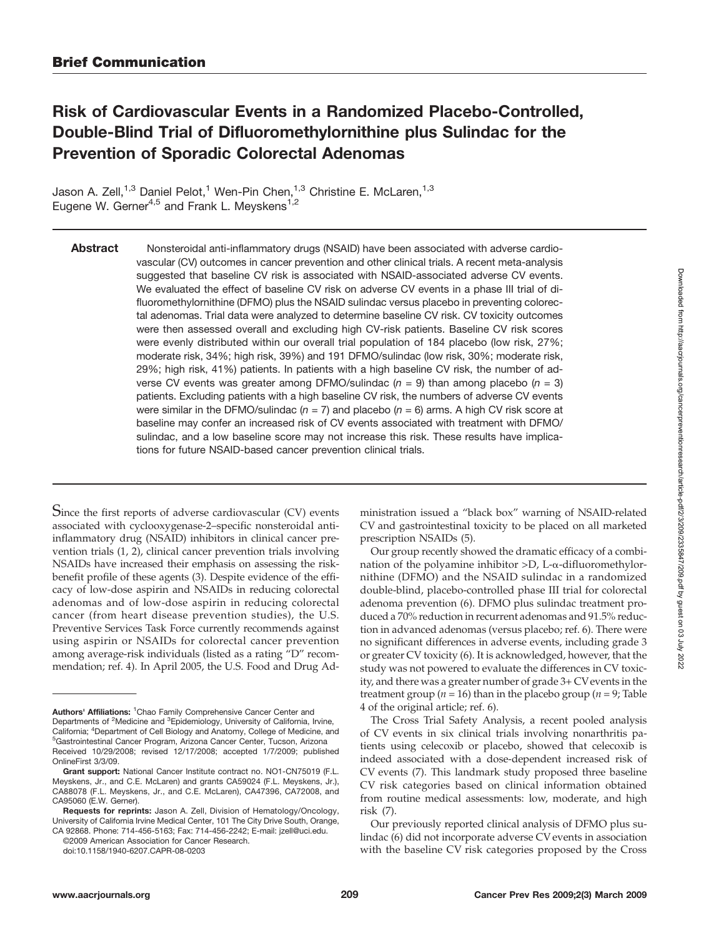# Risk of Cardiovascular Events in a Randomized Placebo-Controlled, Double-Blind Trial of Difluoromethylornithine plus Sulindac for the Prevention of Sporadic Colorectal Adenomas

Jason A. Zell,<sup>1,3</sup> Daniel Pelot,<sup>1</sup> Wen-Pin Chen,<sup>1,3</sup> Christine E. McLaren,<sup>1,3</sup> Eugene W. Gerner<sup>4,5</sup> and Frank L. Meyskens<sup>1,2</sup>

Abstract Nonsteroidal anti-inflammatory drugs (NSAID) have been associated with adverse cardiovascular (CV) outcomes in cancer prevention and other clinical trials. A recent meta-analysis suggested that baseline CV risk is associated with NSAID-associated adverse CV events. We evaluated the effect of baseline CV risk on adverse CV events in a phase III trial of difluoromethylornithine (DFMO) plus the NSAID sulindac versus placebo in preventing colorectal adenomas. Trial data were analyzed to determine baseline CV risk. CV toxicity outcomes were then assessed overall and excluding high CV-risk patients. Baseline CV risk scores were evenly distributed within our overall trial population of 184 placebo (low risk, 27%; moderate risk, 34%; high risk, 39%) and 191 DFMO/sulindac (low risk, 30%; moderate risk, 29%; high risk, 41%) patients. In patients with a high baseline CV risk, the number of adverse CV events was greater among DFMO/sulindac ( $n = 9$ ) than among placebo ( $n = 3$ ) patients. Excluding patients with a high baseline CV risk, the numbers of adverse CV events were similar in the DFMO/sulindac ( $n = 7$ ) and placebo ( $n = 6$ ) arms. A high CV risk score at baseline may confer an increased risk of CV events associated with treatment with DFMO/ sulindac, and a low baseline score may not increase this risk. These results have implications for future NSAID-based cancer prevention clinical trials.

Since the first reports of adverse cardiovascular (CV) events associated with cyclooxygenase-2–specific nonsteroidal antiinflammatory drug (NSAID) inhibitors in clinical cancer prevention trials (1, 2), clinical cancer prevention trials involving NSAIDs have increased their emphasis on assessing the riskbenefit profile of these agents (3). Despite evidence of the efficacy of low-dose aspirin and NSAIDs in reducing colorectal adenomas and of low-dose aspirin in reducing colorectal cancer (from heart disease prevention studies), the U.S. Preventive Services Task Force currently recommends against using aspirin or NSAIDs for colorectal cancer prevention among average-risk individuals (listed as a rating "D" recommendation; ref. 4). In April 2005, the U.S. Food and Drug Ad-

doi:10.1158/1940-6207.CAPR-08-0203

ministration issued a "black box" warning of NSAID-related CV and gastrointestinal toxicity to be placed on all marketed prescription NSAIDs (5).

Our group recently showed the dramatic efficacy of a combination of the polyamine inhibitor >D, L-α-difluoromethylornithine (DFMO) and the NSAID sulindac in a randomized double-blind, placebo-controlled phase III trial for colorectal adenoma prevention (6). DFMO plus sulindac treatment produced a 70% reduction in recurrent adenomas and 91.5% reduction in advanced adenomas (versus placebo; ref. 6). There were no significant differences in adverse events, including grade 3 or greater CV toxicity (6). It is acknowledged, however, that the study was not powered to evaluate the differences in CV toxicity, and there was a greater number of grade 3+ CVevents in the treatment group ( $n = 16$ ) than in the placebo group ( $n = 9$ ; Table 4 of the original article; ref. 6).

The Cross Trial Safety Analysis, a recent pooled analysis of CV events in six clinical trials involving nonarthritis patients using celecoxib or placebo, showed that celecoxib is indeed associated with a dose-dependent increased risk of CV events (7). This landmark study proposed three baseline CV risk categories based on clinical information obtained from routine medical assessments: low, moderate, and high risk (7).

Authors' Affiliations: <sup>1</sup>Chao Family Comprehensive Cancer Center and Departments of <sup>2</sup>Medicine and <sup>3</sup>Epidemiology, University of California, Irvine, California; <sup>4</sup>Department of Cell Biology and Anatomy, College of Medicine, and 5<br><sup>5</sup>Centreintestinal Cancer Program, Arizona Cancer Center, Tuccan, Arizona <sup>5</sup> Gastrointestinal Cancer Program, Arizona Cancer Center, Tucson, Arizona Received 10/29/2008; revised 12/17/2008; accepted 1/7/2009; published OnlineFirst 3/3/09.

Grant support: National Cancer Institute contract no. NO1-CN75019 (F.L. Meyskens, Jr., and C.E. McLaren) and grants CA59024 (F.L. Meyskens, Jr.), CA88078 (F.L. Meyskens, Jr., and C.E. McLaren), CA47396, CA72008, and CA95060 (E.W. Gerner).

Requests for reprints: Jason A. Zell, Division of Hematology/Oncology, University of California Irvine Medical Center, 101 The City Drive South, Orange, CA 92868. Phone: 714-456-5163; Fax: 714-456-2242; E-mail: jzell@uci.edu.

<sup>©2009</sup> American Association for Cancer Research.

Our previously reported clinical analysis of DFMO plus sulindac (6) did not incorporate adverse CV events in association with the baseline CV risk categories proposed by the Cross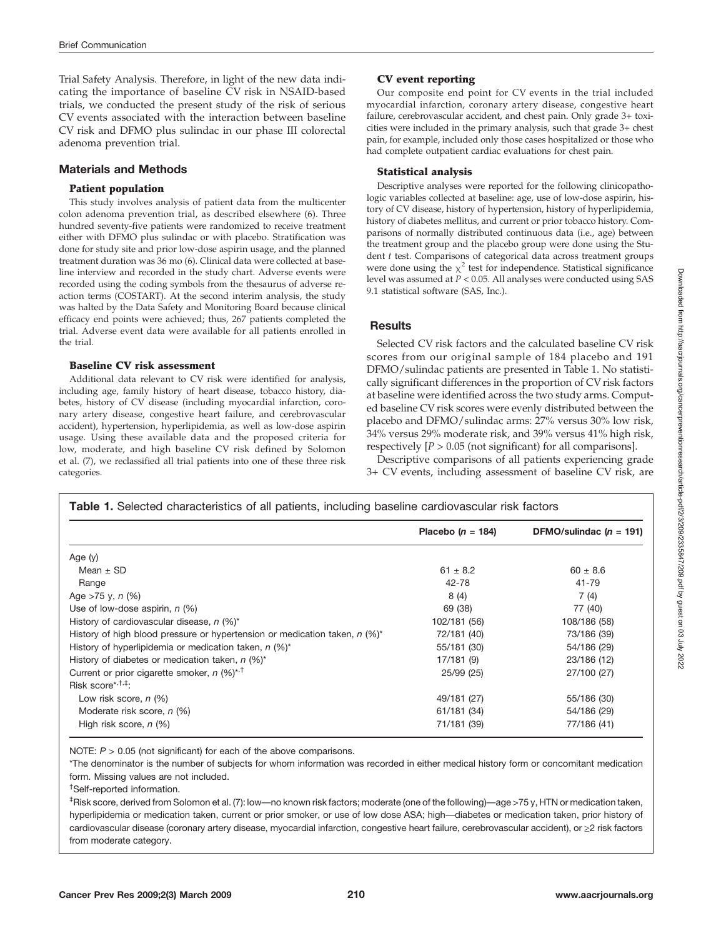Trial Safety Analysis. Therefore, in light of the new data indicating the importance of baseline CV risk in NSAID-based trials, we conducted the present study of the risk of serious CV events associated with the interaction between baseline CV risk and DFMO plus sulindac in our phase III colorectal adenoma prevention trial.

# Materials and Methods

**Patients PFPF Exercise** colon adenoma prevention trial, as described elsewhere (6). Three hundred seventy-five patients were randomized to receive treatment either with DFMO plus sulindac or with placebo. Stratification was done for study site and prior low-dose aspirin usage, and the planned treatment duration was 36 mo (6). Clinical data were collected at baseline interview and recorded in the study chart. Adverse events were recorded using the coding symbols from the thesaurus of adverse reaction terms (COSTART). At the second interim analysis, the study was halted by the Data Safety and Monitoring Board because clinical efficacy end points were achieved; thus, 267 patients completed the trial. Adverse event data were available for all patients enrolled in the trial.

# **Baseline CV risk assessment**

Additional data relevant to CV risk were identified for analysis, including age, family history of heart disease, tobacco history, diabetes, history of CV disease (including myocardial infarction, coronary artery disease, congestive heart failure, and cerebrovascular accident), hypertension, hyperlipidemia, as well as low-dose aspirin usage. Using these available data and the proposed criteria for low, moderate, and high baseline CV risk defined by Solomon et al. (7), we reclassified all trial patients into one of these three risk categories.

Our composite end point for CV events in the trial included myocardial infarction, coronary artery disease, congestive heart failure, cerebrovascular accident, and chest pain. Only grade 3+ toxicities were included in the primary analysis, such that grade 3+ chest pain, for example, included only those cases hospitalized or those who had complete outpatient cardiac evaluations for chest pain.

Descriptive analyses were reported for the following clinicopathologic variables collected at baseline: age, use of low-dose aspirin, history of CV disease, history of hypertension, history of hyperlipidemia, history of diabetes mellitus, and current or prior tobacco history. Comparisons of normally distributed continuous data (i.e., age) between the treatment group and the placebo group were done using the Student  $t$  test. Comparisons of categorical data across treatment groups were done using the  $\chi^2$  test for independence. Statistical significance level was assumed at P < 0.05. All analyses were conducted using SAS 9.1 statistical software (SAS, Inc.).

# **Results**

Selected CV risk factors and the calculated baseline CV risk scores from our original sample of 184 placebo and 191 DFMO/sulindac patients are presented in Table 1. No statistically significant differences in the proportion of CV risk factors at baseline were identified across the two study arms. Computed baseline CV risk scores were evenly distributed between the placebo and DFMO/sulindac arms: 27% versus 30% low risk, 34% versus 29% moderate risk, and 39% versus 41% high risk, respectively  $[P > 0.05$  (not significant) for all comparisons].

Descriptive comparisons of all patients experiencing grade 3+ CV events, including assessment of baseline CV risk, are

|                                                                              | Placebo ( $n = 184$ ) | DFMO/sulindac ( $n = 191$ ) |
|------------------------------------------------------------------------------|-----------------------|-----------------------------|
| Age $(y)$                                                                    |                       |                             |
| Mean $\pm$ SD                                                                | $61 \pm 8.2$          | $60 \pm 8.6$                |
| Range                                                                        | 42-78                 | 41-79                       |
| Age $>75$ y, n (%)                                                           | 8(4)                  | 7(4)                        |
| Use of low-dose aspirin, $n$ (%)                                             | 69 (38)               | 77 (40)                     |
| History of cardiovascular disease, $n$ (%)*                                  | 102/181 (56)          | 108/186 (58)                |
| History of high blood pressure or hypertension or medication taken, $n$ (%)* | 72/181 (40)           | 73/186 (39)                 |
| History of hyperlipidemia or medication taken, $n$ (%)*                      | 55/181 (30)           | 54/186 (29)                 |
| History of diabetes or medication taken, $n$ (%)*                            | 17/181 (9)            | 23/186 (12)                 |
| Current or prior cigarette smoker, n (%)* <sup>,†</sup>                      | 25/99 (25)            | 27/100 (27)                 |
| Risk score* <sup>,†,‡</sup> ;                                                |                       |                             |
| Low risk score, n (%)                                                        | 49/181 (27)           | 55/186 (30)                 |
| Moderate risk score, n (%)                                                   | 61/181 (34)           | 54/186 (29)                 |
| High risk score, $n$ (%)                                                     | 71/181 (39)           | 77/186 (41)                 |

NOTE:  $P > 0.05$  (not significant) for each of the above comparisons.

\*The denominator is the number of subjects for whom information was recorded in either medical history form or concomitant medication form. Missing values are not included.

<sup>†</sup>Self-reported information.

‡ Risk score, derived from Solomon et al. (7): low—no known risk factors; moderate (one of the following)—age >75 y, HTN or medication taken, hyperlipidemia or medication taken, current or prior smoker, or use of low dose ASA; high—diabetes or medication taken, prior history of cardiovascular disease (coronary artery disease, myocardial infarction, congestive heart failure, cerebrovascular accident), or ≥2 risk factors from moderate category.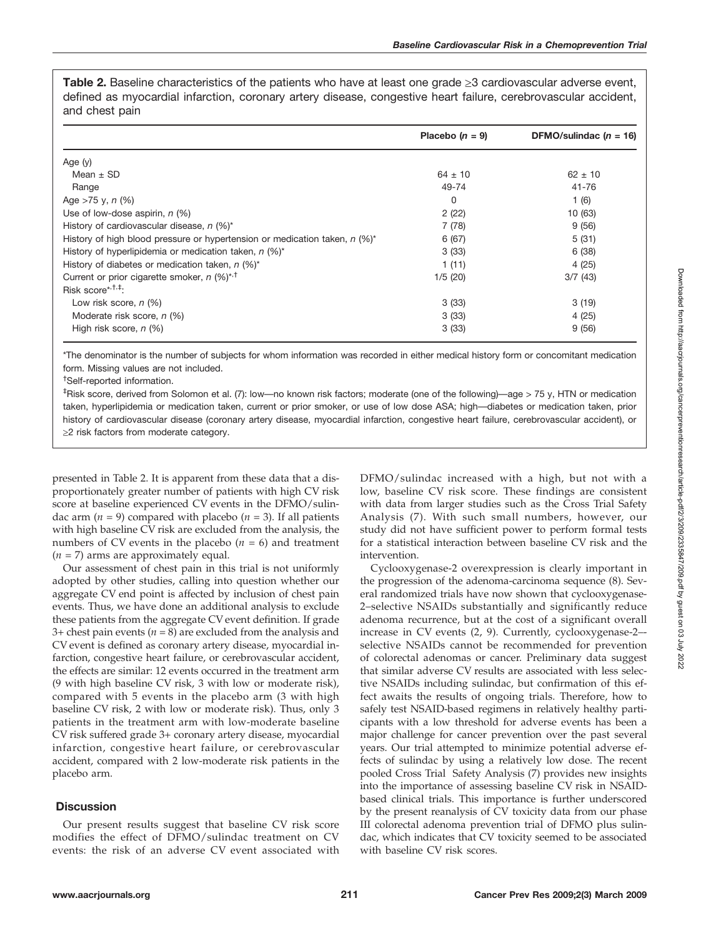Table 2. Baseline characteristics of the patients who have at least one grade  $\geq 3$  cardiovascular adverse event, defined as myocardial infarction, coronary artery disease, congestive heart failure, cerebrovascular accident, and chest pain

|                                                                              | Placebo $(n = 9)$ | DFMO/sulindac $(n = 16)$ |
|------------------------------------------------------------------------------|-------------------|--------------------------|
| Age $(y)$                                                                    |                   |                          |
| Mean $\pm$ SD                                                                | $64 \pm 10$       | $62 \pm 10$              |
| Range                                                                        | 49-74             | $41 - 76$                |
| Age $>75$ y, n $(\%)$                                                        | 0                 | 1(6)                     |
| Use of low-dose aspirin, $n$ (%)                                             | 2(22)             | 10 (63)                  |
| History of cardiovascular disease, $n$ (%)*                                  | 7(78)             | 9(56)                    |
| History of high blood pressure or hypertension or medication taken, $n$ (%)* | 6(67)             | 5(31)                    |
| History of hyperlipidemia or medication taken, $n$ (%)*                      | 3(33)             | 6(38)                    |
| History of diabetes or medication taken, $n$ (%)*                            | 1(11)             | 4(25)                    |
| Current or prior cigarette smoker, $n$ (%) <sup>*,†</sup>                    | 1/5(20)           | 3/7(43)                  |
| Risk score* <sup>1,1</sup> ;                                                 |                   |                          |
| Low risk score, $n$ (%)                                                      | 3(33)             | 3(19)                    |
| Moderate risk score, n (%)                                                   | 3(33)             | 4(25)                    |
| High risk score, $n$ (%)                                                     | 3(33)             | 9(56)                    |

\*The denominator is the number of subjects for whom information was recorded in either medical history form or concomitant medication form. Missing values are not included.

<sup>†</sup>Self-reported information.

‡ Risk score, derived from Solomon et al. (7): low—no known risk factors; moderate (one of the following)—age > 75 y, HTN or medication taken, hyperlipidemia or medication taken, current or prior smoker, or use of low dose ASA; high—diabetes or medication taken, prior history of cardiovascular disease (coronary artery disease, myocardial infarction, congestive heart failure, cerebrovascular accident), or ≥2 risk factors from moderate category.

presented in Table 2. It is apparent from these data that a disproportionately greater number of patients with high CV risk score at baseline experienced CV events in the DFMO/sulindac arm ( $n = 9$ ) compared with placebo ( $n = 3$ ). If all patients with high baseline CV risk are excluded from the analysis, the numbers of CV events in the placebo  $(n = 6)$  and treatment  $(n = 7)$  arms are approximately equal.

Our assessment of chest pain in this trial is not uniformly adopted by other studies, calling into question whether our aggregate CV end point is affected by inclusion of chest pain events. Thus, we have done an additional analysis to exclude these patients from the aggregate CV event definition. If grade 3+ chest pain events ( $n = 8$ ) are excluded from the analysis and CV event is defined as coronary artery disease, myocardial infarction, congestive heart failure, or cerebrovascular accident, the effects are similar: 12 events occurred in the treatment arm (9 with high baseline CV risk, 3 with low or moderate risk), compared with 5 events in the placebo arm (3 with high baseline CV risk, 2 with low or moderate risk). Thus, only 3 patients in the treatment arm with low-moderate baseline CV risk suffered grade 3+ coronary artery disease, myocardial infarction, congestive heart failure, or cerebrovascular accident, compared with 2 low-moderate risk patients in the placebo arm.

# **Discussion**

Our present results suggest that baseline CV risk score modifies the effect of DFMO/sulindac treatment on CV events: the risk of an adverse CV event associated with DFMO/sulindac increased with a high, but not with a low, baseline CV risk score. These findings are consistent with data from larger studies such as the Cross Trial Safety Analysis (7). With such small numbers, however, our study did not have sufficient power to perform formal tests for a statistical interaction between baseline CV risk and the intervention.

Cyclooxygenase-2 overexpression is clearly important in the progression of the adenoma-carcinoma sequence (8). Several randomized trials have now shown that cyclooxygenase-2–selective NSAIDs substantially and significantly reduce adenoma recurrence, but at the cost of a significant overall increase in CV events (2, 9). Currently, cyclooxygenase-2– selective NSAIDs cannot be recommended for prevention of colorectal adenomas or cancer. Preliminary data suggest that similar adverse CV results are associated with less selective NSAIDs including sulindac, but confirmation of this effect awaits the results of ongoing trials. Therefore, how to safely test NSAID-based regimens in relatively healthy participants with a low threshold for adverse events has been a major challenge for cancer prevention over the past several years. Our trial attempted to minimize potential adverse effects of sulindac by using a relatively low dose. The recent pooled Cross Trial Safety Analysis (7) provides new insights into the importance of assessing baseline CV risk in NSAIDbased clinical trials. This importance is further underscored by the present reanalysis of CV toxicity data from our phase III colorectal adenoma prevention trial of DFMO plus sulindac, which indicates that CV toxicity seemed to be associated with baseline CV risk scores.